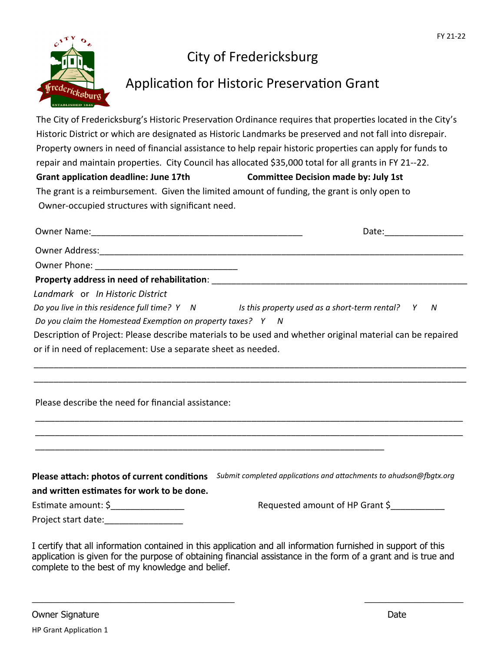

## City of Fredericksburg

## Application for Historic Preservation Grant

The City of Fredericksburg's Historic Preservation Ordinance requires that properties located in the City's Historic District or which are designated as Historic Landmarks be preserved and not fall into disrepair. Property owners in need of financial assistance to help repair historic properties can apply for funds to repair and maintain properties. City Council has allocated \$35,000 total for all grants in FY 21--22. **Grant application deadline: June 17th Committee Decision made by: July 1st** The grant is a reimbursement. Given the limited amount of funding, the grant is only open to Owner-occupied structures with significant need.

| Landmark or In Historic District                              |                                                                                                                |
|---------------------------------------------------------------|----------------------------------------------------------------------------------------------------------------|
|                                                               | Do you live in this residence full time? $Y \cap N$ Is this property used as a short-term rental? $Y \cap N$   |
| Do you claim the Homestead Exemption on property taxes? Y N   |                                                                                                                |
|                                                               | Description of Project: Please describe materials to be used and whether original material can be repaired     |
| or if in need of replacement: Use a separate sheet as needed. |                                                                                                                |
| Please describe the need for financial assistance:            |                                                                                                                |
|                                                               |                                                                                                                |
|                                                               | Please attach: photos of current conditions Submit completed applications and attachments to ahudson@fbgtx.org |
| and written estimates for work to be done.                    |                                                                                                                |
| Estimate amount: \$__________________                         | Requested amount of HP Grant \$                                                                                |
| Project start date:                                           |                                                                                                                |

I certify that all information contained in this application and all information furnished in support of this application is given for the purpose of obtaining financial assistance in the form of a grant and is true and complete to the best of my knowledge and belief.

 $\_$  , and the contribution of the contribution of  $\overline{\phantom{a}}$  , and  $\overline{\phantom{a}}$  , and  $\overline{\phantom{a}}$  , and  $\overline{\phantom{a}}$  , and  $\overline{\phantom{a}}$  , and  $\overline{\phantom{a}}$  , and  $\overline{\phantom{a}}$  , and  $\overline{\phantom{a}}$  , and  $\overline{\phantom{a}}$  , and  $\overline{\phantom{a$ 

Owner Signature Date Date of the United States and the United States of the United States and Date Date Owner